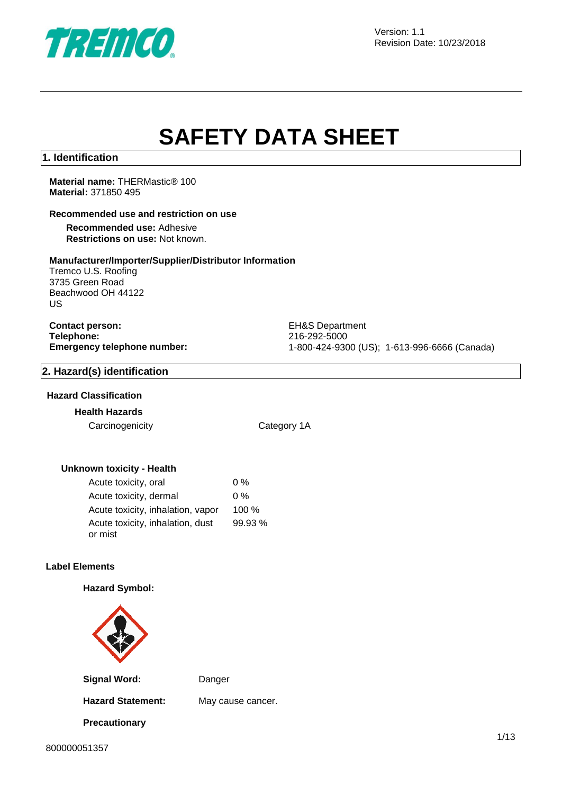

Version: 1.1 Revision Date: 10/23/2018

# **SAFETY DATA SHEET**

### **1. Identification**

**Material name:** THERMastic® 100 **Material:** 371850 495

### **Recommended use and restriction on use**

**Recommended use:** Adhesive **Restrictions on use:** Not known.

### **Manufacturer/Importer/Supplier/Distributor Information**

Tremco U.S. Roofing 3735 Green Road Beachwood OH 44122 US

**Contact person:** EH&S Department **Telephone:** 216-292-5000<br> **Emergency telephone number:** 216-292-5000<br>
21-800-424-930

**Emergency telephone number:** 1-800-424-9300 (US); 1-613-996-6666 (Canada)

### **2. Hazard(s) identification**

### **Hazard Classification**

### **Health Hazards**

Carcinogenicity Category 1A

### **Unknown toxicity - Health**

| Acute toxicity, oral              | $0\%$   |
|-----------------------------------|---------|
| Acute toxicity, dermal            | $0\%$   |
| Acute toxicity, inhalation, vapor | $100\%$ |
| Acute toxicity, inhalation, dust  | 99.93 % |
| or mist                           |         |

### **Label Elements**

### **Hazard Symbol:**



**Signal Word:** Danger

**Precautionary** 

**Hazard Statement:** May cause cancer.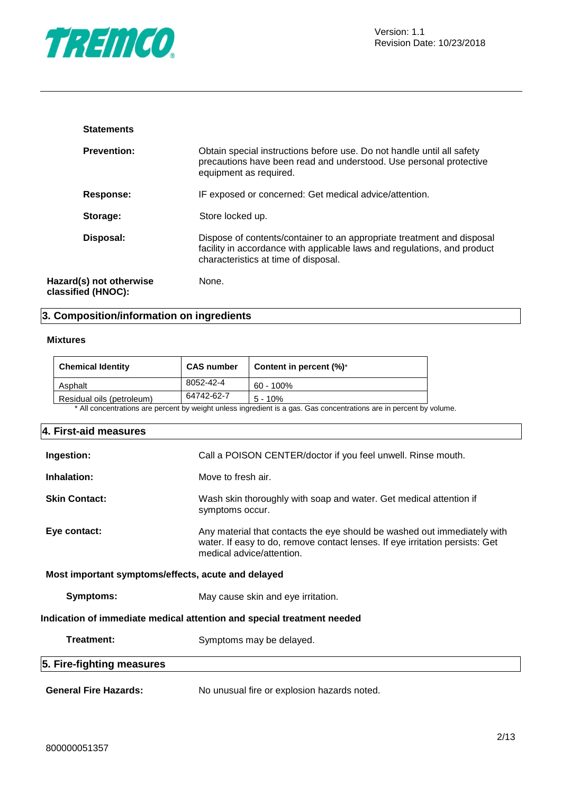

| <b>Statements</b>                             |                                                                                                                                                                                            |
|-----------------------------------------------|--------------------------------------------------------------------------------------------------------------------------------------------------------------------------------------------|
| <b>Prevention:</b>                            | Obtain special instructions before use. Do not handle until all safety<br>precautions have been read and understood. Use personal protective<br>equipment as required.                     |
| Response:                                     | IF exposed or concerned: Get medical advice/attention.                                                                                                                                     |
| Storage:                                      | Store locked up.                                                                                                                                                                           |
| Disposal:                                     | Dispose of contents/container to an appropriate treatment and disposal<br>facility in accordance with applicable laws and regulations, and product<br>characteristics at time of disposal. |
| Hazard(s) not otherwise<br>classified (HNOC): | None.                                                                                                                                                                                      |

# **3. Composition/information on ingredients**

### **Mixtures**

| <b>Chemical Identity</b>  | <b>CAS number</b> | Content in percent $(\%)^*$                                                                                    |
|---------------------------|-------------------|----------------------------------------------------------------------------------------------------------------|
| Asphalt                   | 8052-42-4         | 60 - 100%                                                                                                      |
| Residual oils (petroleum) | 64742-62-7        | $5 - 10%$                                                                                                      |
|                           |                   | * All concentrations are persont by weight unless ingradient is a gas. Cas concentrations are in persont by ve |

All concentrations are percent by weight unless ingredient is a gas. Gas concentrations are in percent by volume.

| 4. First-aid measures                              |                                                                                                                                                                                       |
|----------------------------------------------------|---------------------------------------------------------------------------------------------------------------------------------------------------------------------------------------|
| Ingestion:                                         | Call a POISON CENTER/doctor if you feel unwell. Rinse mouth.                                                                                                                          |
| Inhalation:                                        | Move to fresh air.                                                                                                                                                                    |
| <b>Skin Contact:</b>                               | Wash skin thoroughly with soap and water. Get medical attention if<br>symptoms occur.                                                                                                 |
| Eye contact:                                       | Any material that contacts the eye should be washed out immediately with<br>water. If easy to do, remove contact lenses. If eye irritation persists: Get<br>medical advice/attention. |
| Most important symptoms/effects, acute and delayed |                                                                                                                                                                                       |
| Symptoms:                                          | May cause skin and eye irritation.                                                                                                                                                    |
|                                                    | Indication of immediate medical attention and special treatment needed                                                                                                                |
| Treatment:                                         | Symptoms may be delayed.                                                                                                                                                              |
| 5. Fire-fighting measures                          |                                                                                                                                                                                       |
| <b>General Fire Hazards:</b>                       | No unusual fire or explosion hazards noted.                                                                                                                                           |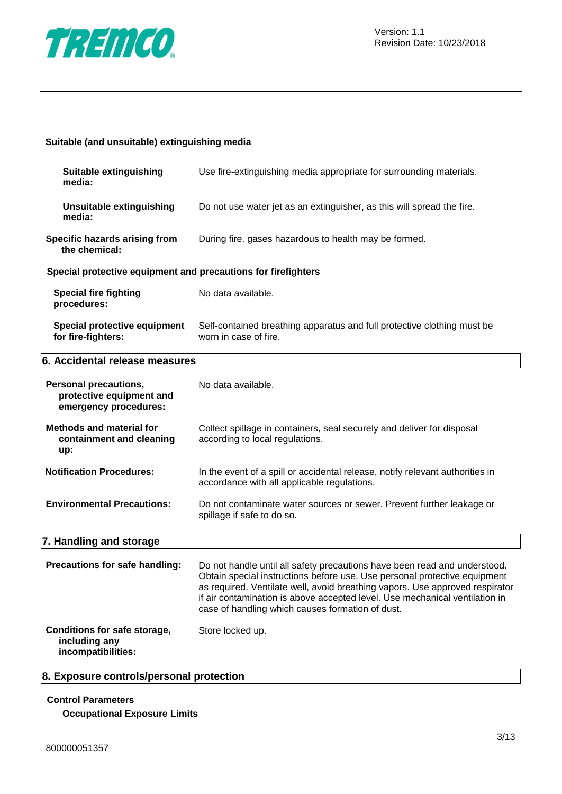

### **Suitable (and unsuitable) extinguishing media**

| Suitable extinguishing<br>media:                                           | Use fire-extinguishing media appropriate for surrounding materials.                                                                                                                                                                                                                                                                                                       |
|----------------------------------------------------------------------------|---------------------------------------------------------------------------------------------------------------------------------------------------------------------------------------------------------------------------------------------------------------------------------------------------------------------------------------------------------------------------|
| <b>Unsuitable extinguishing</b><br>media:                                  | Do not use water jet as an extinguisher, as this will spread the fire.                                                                                                                                                                                                                                                                                                    |
| Specific hazards arising from<br>the chemical:                             | During fire, gases hazardous to health may be formed.                                                                                                                                                                                                                                                                                                                     |
| Special protective equipment and precautions for firefighters              |                                                                                                                                                                                                                                                                                                                                                                           |
| <b>Special fire fighting</b><br>procedures:                                | No data available.                                                                                                                                                                                                                                                                                                                                                        |
| Special protective equipment<br>for fire-fighters:                         | Self-contained breathing apparatus and full protective clothing must be<br>worn in case of fire.                                                                                                                                                                                                                                                                          |
| 6. Accidental release measures                                             |                                                                                                                                                                                                                                                                                                                                                                           |
| Personal precautions,<br>protective equipment and<br>emergency procedures: | No data available.                                                                                                                                                                                                                                                                                                                                                        |
| <b>Methods and material for</b><br>containment and cleaning<br>up:         | Collect spillage in containers, seal securely and deliver for disposal<br>according to local regulations.                                                                                                                                                                                                                                                                 |
| <b>Notification Procedures:</b>                                            | In the event of a spill or accidental release, notify relevant authorities in<br>accordance with all applicable regulations.                                                                                                                                                                                                                                              |
| <b>Environmental Precautions:</b>                                          | Do not contaminate water sources or sewer. Prevent further leakage or<br>spillage if safe to do so.                                                                                                                                                                                                                                                                       |
| 7. Handling and storage                                                    |                                                                                                                                                                                                                                                                                                                                                                           |
| Precautions for safe handling:                                             | Do not handle until all safety precautions have been read and understood.<br>Obtain special instructions before use. Use personal protective equipment<br>as required. Ventilate well, avoid breathing vapors. Use approved respirator<br>if air contamination is above accepted level. Use mechanical ventilation in<br>case of handling which causes formation of dust. |
| Conditions for safe storage,<br>including any<br>incompatibilities:        | Store locked up.                                                                                                                                                                                                                                                                                                                                                          |

## **8. Exposure controls/personal protection**

### **Control Parameters**

**Occupational Exposure Limits**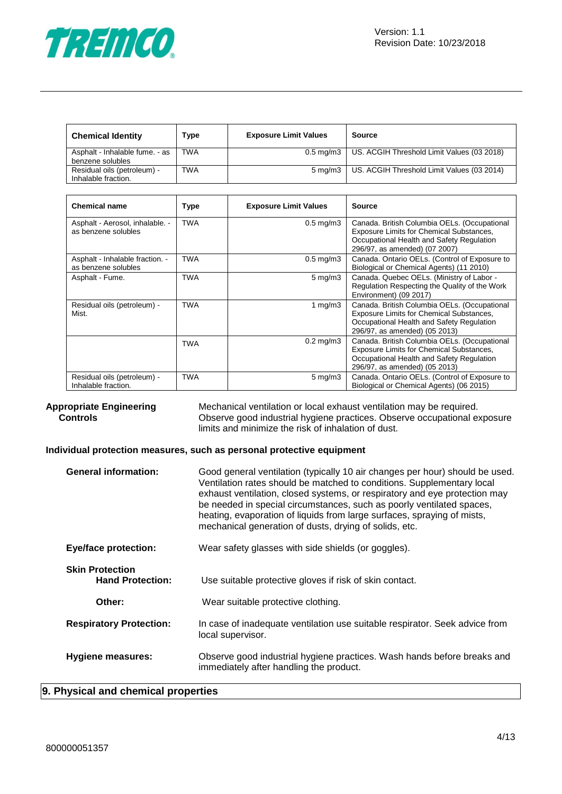

| <b>Chemical Identity</b>       | Type       | <b>Exposure Limit Values</b> | Source                                     |
|--------------------------------|------------|------------------------------|--------------------------------------------|
| Asphalt - Inhalable fume. - as | TWA        | $0.5 \text{ ma/m}$ 3         | US. ACGIH Threshold Limit Values (03 2018) |
| benzene solubles               |            |                              |                                            |
| Residual oils (petroleum) -    | <b>TWA</b> | $5 \text{ ma/m}$ 3           | US. ACGIH Threshold Limit Values (03 2014) |
| Inhalable fraction.            |            |                              |                                            |

| <b>Chemical name</b>                                   | Type       | <b>Exposure Limit Values</b> | Source                                                                                                                                                                        |
|--------------------------------------------------------|------------|------------------------------|-------------------------------------------------------------------------------------------------------------------------------------------------------------------------------|
| Asphalt - Aerosol, inhalable. -<br>as benzene solubles | <b>TWA</b> | $0.5 \text{ mg/m}$ 3         | Canada. British Columbia OELs. (Occupational<br>Exposure Limits for Chemical Substances,<br>Occupational Health and Safety Regulation<br>296/97, as amended) (07 2007)        |
| Asphalt - Inhalable fraction. -<br>as benzene solubles | TWA        | $0.5$ mg/m $3$               | Canada. Ontario OELs. (Control of Exposure to<br>Biological or Chemical Agents) (11 2010)                                                                                     |
| Asphalt - Fume.                                        | <b>TWA</b> | $5 \text{ mg/m}$             | Canada. Quebec OELs. (Ministry of Labor -<br>Regulation Respecting the Quality of the Work<br>Environment) (09 2017)                                                          |
| Residual oils (petroleum) -<br>Mist.                   | <b>TWA</b> | 1 mg/m $3$                   | Canada. British Columbia OELs. (Occupational<br><b>Exposure Limits for Chemical Substances,</b><br>Occupational Health and Safety Regulation<br>296/97, as amended) (05 2013) |
|                                                        | TWA        | $0.2$ mg/m $3$               | Canada. British Columbia OELs. (Occupational<br>Exposure Limits for Chemical Substances,<br>Occupational Health and Safety Regulation<br>296/97, as amended) (05 2013)        |
| Residual oils (petroleum) -<br>Inhalable fraction.     | <b>TWA</b> | $5 \text{ mg/m}$ 3           | Canada. Ontario OELs. (Control of Exposure to<br>Biological or Chemical Agents) (06 2015)                                                                                     |

**Appropriate Engineering Controls** Mechanical ventilation or local exhaust ventilation may be required. Observe good industrial hygiene practices. Observe occupational exposure limits and minimize the risk of inhalation of dust.

### **Individual protection measures, such as personal protective equipment**

| <b>General information:</b>                       | Good general ventilation (typically 10 air changes per hour) should be used.<br>Ventilation rates should be matched to conditions. Supplementary local<br>exhaust ventilation, closed systems, or respiratory and eye protection may<br>be needed in special circumstances, such as poorly ventilated spaces,<br>heating, evaporation of liquids from large surfaces, spraying of mists,<br>mechanical generation of dusts, drying of solids, etc. |
|---------------------------------------------------|----------------------------------------------------------------------------------------------------------------------------------------------------------------------------------------------------------------------------------------------------------------------------------------------------------------------------------------------------------------------------------------------------------------------------------------------------|
| <b>Eye/face protection:</b>                       | Wear safety glasses with side shields (or goggles).                                                                                                                                                                                                                                                                                                                                                                                                |
| <b>Skin Protection</b><br><b>Hand Protection:</b> | Use suitable protective gloves if risk of skin contact.                                                                                                                                                                                                                                                                                                                                                                                            |
| Other:                                            | Wear suitable protective clothing.                                                                                                                                                                                                                                                                                                                                                                                                                 |
| <b>Respiratory Protection:</b>                    | In case of inadequate ventilation use suitable respirator. Seek advice from<br>local supervisor.                                                                                                                                                                                                                                                                                                                                                   |
| <b>Hygiene measures:</b>                          | Observe good industrial hygiene practices. Wash hands before breaks and<br>immediately after handling the product.                                                                                                                                                                                                                                                                                                                                 |

### **9. Physical and chemical properties**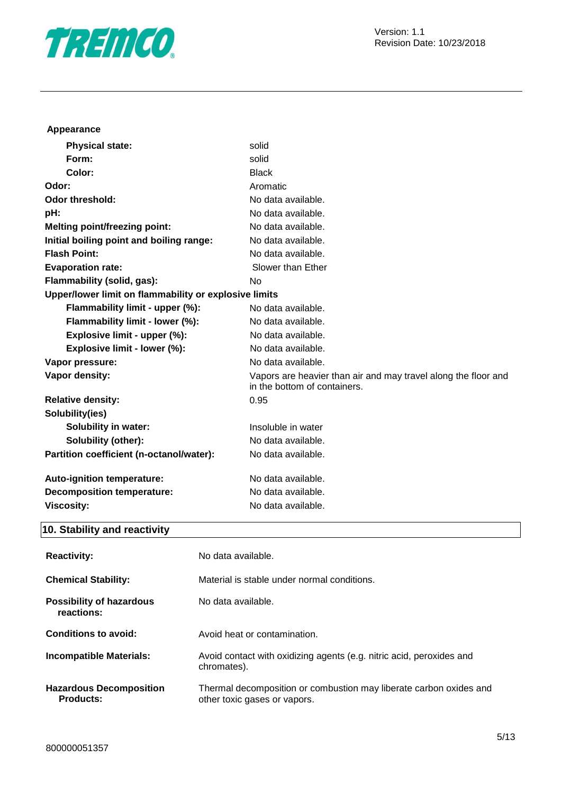

### **Appearance**

| <b>Physical state:</b>                                | solid                                                                                          |
|-------------------------------------------------------|------------------------------------------------------------------------------------------------|
| Form:                                                 | solid                                                                                          |
| Color:                                                | <b>Black</b>                                                                                   |
| Odor:                                                 | Aromatic                                                                                       |
| Odor threshold:                                       | No data available.                                                                             |
| pH:                                                   | No data available.                                                                             |
| <b>Melting point/freezing point:</b>                  | No data available.                                                                             |
| Initial boiling point and boiling range:              | No data available.                                                                             |
| <b>Flash Point:</b>                                   | No data available.                                                                             |
| <b>Evaporation rate:</b>                              | Slower than Ether                                                                              |
| Flammability (solid, gas):                            | No                                                                                             |
| Upper/lower limit on flammability or explosive limits |                                                                                                |
| Flammability limit - upper (%):                       | No data available.                                                                             |
| Flammability limit - lower (%):                       | No data available.                                                                             |
| Explosive limit - upper (%):                          | No data available.                                                                             |
| Explosive limit - lower (%):                          | No data available.                                                                             |
| Vapor pressure:                                       | No data available.                                                                             |
| Vapor density:                                        | Vapors are heavier than air and may travel along the floor and<br>in the bottom of containers. |
| <b>Relative density:</b>                              | 0.95                                                                                           |
| Solubility(ies)                                       |                                                                                                |
| <b>Solubility in water:</b>                           | Insoluble in water                                                                             |
| <b>Solubility (other):</b>                            | No data available.                                                                             |
| Partition coefficient (n-octanol/water):              | No data available.                                                                             |
| Auto-ignition temperature:                            | No data available.                                                                             |
| <b>Decomposition temperature:</b>                     | No data available.                                                                             |
| <b>Viscosity:</b>                                     | No data available.                                                                             |
|                                                       |                                                                                                |

# **10. Stability and reactivity**

| <b>Reactivity:</b>                                 | No data available.                                                                                 |
|----------------------------------------------------|----------------------------------------------------------------------------------------------------|
| <b>Chemical Stability:</b>                         | Material is stable under normal conditions.                                                        |
| <b>Possibility of hazardous</b><br>reactions:      | No data available.                                                                                 |
| Conditions to avoid:                               | Avoid heat or contamination.                                                                       |
| <b>Incompatible Materials:</b>                     | Avoid contact with oxidizing agents (e.g. nitric acid, peroxides and<br>chromates).                |
| <b>Hazardous Decomposition</b><br><b>Products:</b> | Thermal decomposition or combustion may liberate carbon oxides and<br>other toxic gases or vapors. |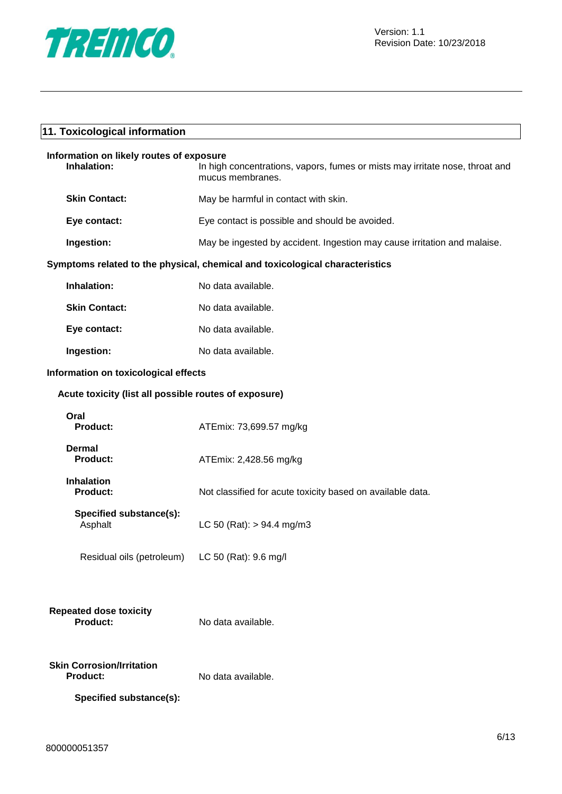

| 11. Toxicological information                           |                                                                                                  |  |  |
|---------------------------------------------------------|--------------------------------------------------------------------------------------------------|--|--|
| Information on likely routes of exposure<br>Inhalation: | In high concentrations, vapors, fumes or mists may irritate nose, throat and<br>mucus membranes. |  |  |
| <b>Skin Contact:</b>                                    | May be harmful in contact with skin.                                                             |  |  |
| Eye contact:                                            | Eye contact is possible and should be avoided.                                                   |  |  |
| Ingestion:                                              | May be ingested by accident. Ingestion may cause irritation and malaise.                         |  |  |
|                                                         | Symptoms related to the physical, chemical and toxicological characteristics                     |  |  |
| Inhalation:                                             | No data available.                                                                               |  |  |
| <b>Skin Contact:</b>                                    | No data available.                                                                               |  |  |
| Eye contact:                                            | No data available.                                                                               |  |  |
| Ingestion:                                              | No data available.                                                                               |  |  |
|                                                         | Information on toxicological effects                                                             |  |  |
| Acute toxicity (list all possible routes of exposure)   |                                                                                                  |  |  |
| Oral<br>Product:                                        | ATEmix: 73,699.57 mg/kg                                                                          |  |  |
| <b>Dermal</b><br><b>Product:</b>                        | ATEmix: 2,428.56 mg/kg                                                                           |  |  |
| <b>Inhalation</b><br><b>Product:</b>                    | Not classified for acute toxicity based on available data.                                       |  |  |
| Specified substance(s):<br>Asphalt                      | LC 50 (Rat): $> 94.4$ mg/m3                                                                      |  |  |
| Residual oils (petroleum)                               | LC 50 (Rat): 9.6 mg/l                                                                            |  |  |
| <b>Repeated dose toxicity</b><br><b>Product:</b>        | No data available.                                                                               |  |  |
| <b>Skin Corrosion/Irritation</b><br><b>Product:</b>     | No data available.                                                                               |  |  |
| Specified substance(s):                                 |                                                                                                  |  |  |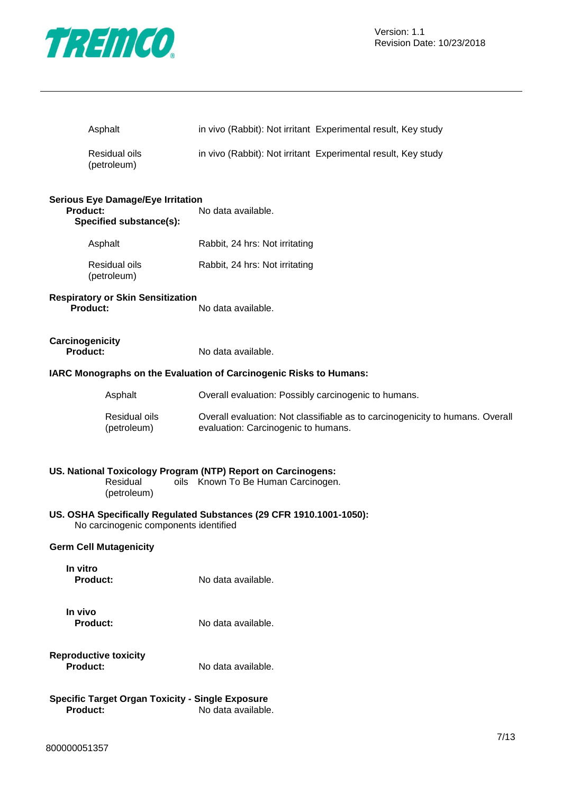

Version: 1.1 Revision Date: 10/23/2018

| Asphalt                                                                                 | in vivo (Rabbit): Not irritant Experimental result, Key study                                                        |
|-----------------------------------------------------------------------------------------|----------------------------------------------------------------------------------------------------------------------|
| Residual oils<br>(petroleum)                                                            | in vivo (Rabbit): Not irritant Experimental result, Key study                                                        |
| <b>Serious Eye Damage/Eye Irritation</b><br><b>Product:</b><br>Specified substance(s):  | No data available.                                                                                                   |
| Asphalt                                                                                 | Rabbit, 24 hrs: Not irritating                                                                                       |
| Residual oils<br>(petroleum)                                                            | Rabbit, 24 hrs: Not irritating                                                                                       |
| <b>Respiratory or Skin Sensitization</b><br><b>Product:</b>                             | No data available.                                                                                                   |
| Carcinogenicity<br><b>Product:</b>                                                      | No data available.                                                                                                   |
|                                                                                         | IARC Monographs on the Evaluation of Carcinogenic Risks to Humans:                                                   |
| Asphalt                                                                                 | Overall evaluation: Possibly carcinogenic to humans.                                                                 |
| Residual oils<br>(petroleum)                                                            | Overall evaluation: Not classifiable as to carcinogenicity to humans. Overall<br>evaluation: Carcinogenic to humans. |
| US. National Toxicology Program (NTP) Report on Carcinogens:<br>Residual<br>(petroleum) | oils Known To Be Human Carcinogen.                                                                                   |
| No carcinogenic components identified                                                   | US. OSHA Specifically Regulated Substances (29 CFR 1910.1001-1050):                                                  |
| <b>Germ Cell Mutagenicity</b>                                                           |                                                                                                                      |
| In vitro<br><b>Product:</b>                                                             | No data available.                                                                                                   |
| In vivo<br><b>Product:</b>                                                              | No data available.                                                                                                   |
| <b>Reproductive toxicity</b><br><b>Product:</b>                                         | No data available.                                                                                                   |
| <b>Specific Target Organ Toxicity - Single Exposure</b><br><b>Product:</b>              | No data available.                                                                                                   |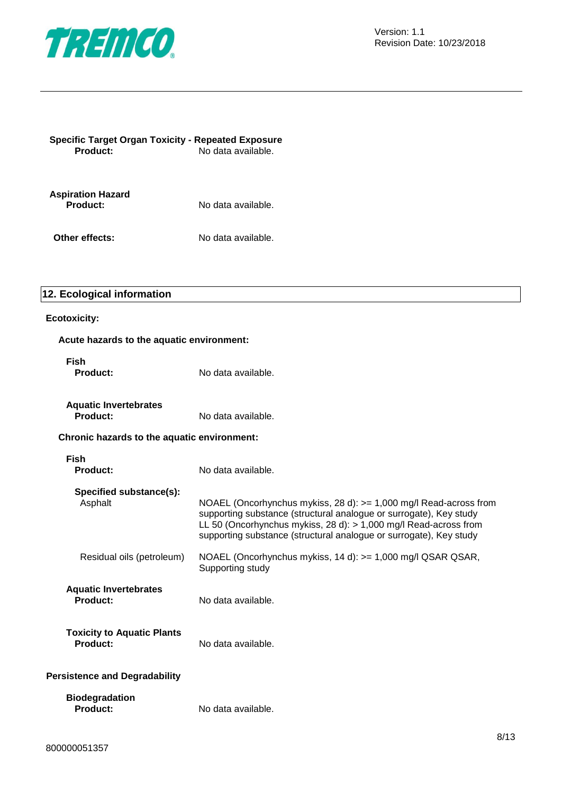

| <b>Specific Target Organ Toxicity - Repeated Exposure</b><br>Product: | No data available. |  |
|-----------------------------------------------------------------------|--------------------|--|
| <b>Aspiration Hazard</b><br>Product:                                  | No data available. |  |
| Other effects:                                                        | No data available. |  |

### **12. Ecological information**

### **Ecotoxicity:**

### **Acute hazards to the aquatic environment:**

| <b>Fish</b><br><b>Product:</b>                | No data available.                                                                                                                                                                                                                                                                 |
|-----------------------------------------------|------------------------------------------------------------------------------------------------------------------------------------------------------------------------------------------------------------------------------------------------------------------------------------|
| <b>Aquatic Invertebrates</b><br>Product:      | No data available.                                                                                                                                                                                                                                                                 |
| Chronic hazards to the aquatic environment:   |                                                                                                                                                                                                                                                                                    |
| <b>Fish</b><br><b>Product:</b>                | No data available.                                                                                                                                                                                                                                                                 |
| Specified substance(s):<br>Asphalt            | NOAEL (Oncorhynchus mykiss, 28 d): > = 1,000 mg/l Read-across from<br>supporting substance (structural analogue or surrogate), Key study<br>LL 50 (Oncorhynchus mykiss, 28 d): > 1,000 mg/l Read-across from<br>supporting substance (structural analogue or surrogate), Key study |
| Residual oils (petroleum)                     | NOAEL (Oncorhynchus mykiss, 14 d): >= 1,000 mg/l QSAR QSAR,<br>Supporting study                                                                                                                                                                                                    |
| <b>Aquatic Invertebrates</b><br>Product:      | No data available.                                                                                                                                                                                                                                                                 |
| <b>Toxicity to Aquatic Plants</b><br>Product: | No data available.                                                                                                                                                                                                                                                                 |
| <b>Persistence and Degradability</b>          |                                                                                                                                                                                                                                                                                    |
| <b>Biodegradation</b><br>Product:             | No data available.                                                                                                                                                                                                                                                                 |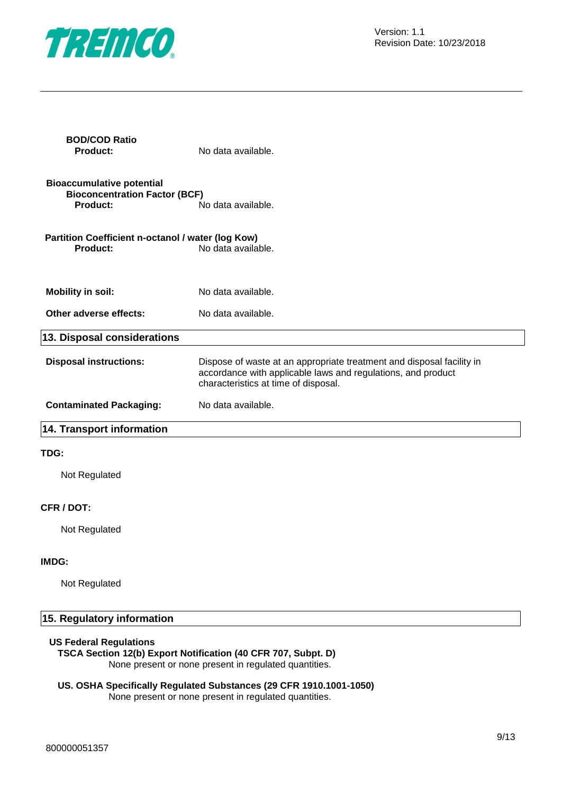

| <b>BOD/COD Ratio</b><br><b>Product:</b>                                              | No data available.                                                                                                                                                            |
|--------------------------------------------------------------------------------------|-------------------------------------------------------------------------------------------------------------------------------------------------------------------------------|
| <b>Bioaccumulative potential</b><br><b>Bioconcentration Factor (BCF)</b><br>Product: | No data available.                                                                                                                                                            |
| Partition Coefficient n-octanol / water (log Kow)<br><b>Product:</b>                 | No data available.                                                                                                                                                            |
| <b>Mobility in soil:</b>                                                             | No data available.                                                                                                                                                            |
| Other adverse effects:                                                               | No data available.                                                                                                                                                            |
| 13. Disposal considerations                                                          |                                                                                                                                                                               |
| <b>Disposal instructions:</b>                                                        | Dispose of waste at an appropriate treatment and disposal facility in<br>accordance with applicable laws and regulations, and product<br>characteristics at time of disposal. |
| <b>Contaminated Packaging:</b>                                                       | No data available.                                                                                                                                                            |
| 14. Transport information                                                            |                                                                                                                                                                               |
| TDG:                                                                                 |                                                                                                                                                                               |
| Not Regulated                                                                        |                                                                                                                                                                               |
| CFR / DOT:                                                                           |                                                                                                                                                                               |
| Not Regulated                                                                        |                                                                                                                                                                               |
| IMDG:                                                                                |                                                                                                                                                                               |
| Not Regulated                                                                        |                                                                                                                                                                               |

# **15. Regulatory information**

### **US Federal Regulations**

**TSCA Section 12(b) Export Notification (40 CFR 707, Subpt. D)** None present or none present in regulated quantities.

### **US. OSHA Specifically Regulated Substances (29 CFR 1910.1001-1050)** None present or none present in regulated quantities.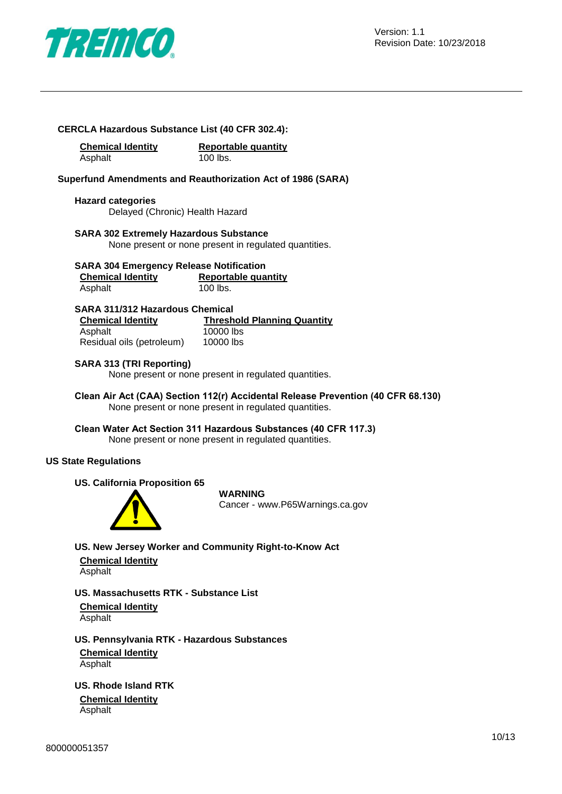

### **CERCLA Hazardous Substance List (40 CFR 302.4):**

**Chemical Identity Reportable quantity** Asphalt 100 lbs.

### **Superfund Amendments and Reauthorization Act of 1986 (SARA)**

**Hazard categories** Delayed (Chronic) Health Hazard

### **SARA 302 Extremely Hazardous Substance**

None present or none present in regulated quantities.

### **SARA 304 Emergency Release Notification**

| <b>Chemical Identity</b> | <b>Reportable quantity</b> |
|--------------------------|----------------------------|
| Asphalt                  | 100 lbs.                   |

### **SARA 311/312 Hazardous Chemical**

| <b>Chemical Identity</b>  | <b>Threshold Planning Quantity</b> |
|---------------------------|------------------------------------|
| Asphalt                   | 10000 lbs                          |
| Residual oils (petroleum) | 10000 lbs                          |

### **SARA 313 (TRI Reporting)**

None present or none present in regulated quantities.

**Clean Air Act (CAA) Section 112(r) Accidental Release Prevention (40 CFR 68.130)** None present or none present in regulated quantities.

**Clean Water Act Section 311 Hazardous Substances (40 CFR 117.3)** None present or none present in regulated quantities.

### **US State Regulations**

### **US. California Proposition 65**



### **WARNING**

Cancer - www.P65Warnings.ca.gov

### **US. New Jersey Worker and Community Right-to-Know Act**

**Chemical Identity** Asphalt

**US. Massachusetts RTK - Substance List Chemical Identity** Asphalt

**US. Pennsylvania RTK - Hazardous Substances**

**Chemical Identity** Asphalt

**US. Rhode Island RTK**

**Chemical Identity** Asphalt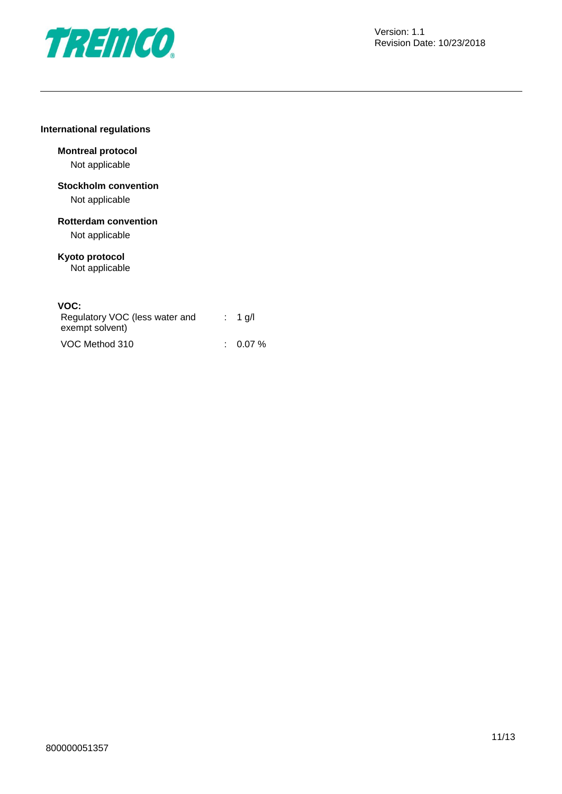

### **International regulations**

# **Montreal protocol**

Not applicable

### **Stockholm convention** Not applicable

**Rotterdam convention**

Not applicable

### **Kyoto protocol** Not applicable

### **VOC:**

| Regulatory VOC (less water and<br>exempt solvent) | $: 1$ q/l |
|---------------------------------------------------|-----------|
| VOC Method 310                                    | $0.07\%$  |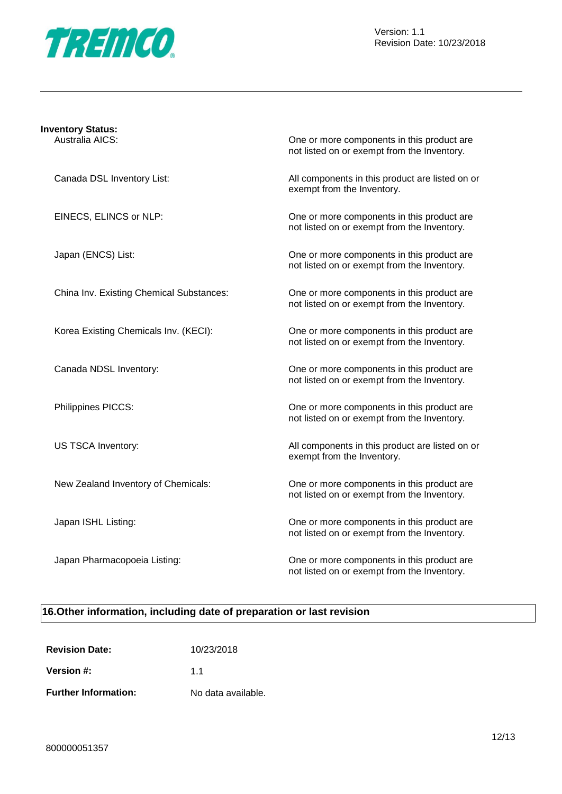

| <b>Inventory Status:</b><br>Australia AICS: | One or more components in this product are<br>not listed on or exempt from the Inventory. |
|---------------------------------------------|-------------------------------------------------------------------------------------------|
| Canada DSL Inventory List:                  | All components in this product are listed on or<br>exempt from the Inventory.             |
| EINECS, ELINCS or NLP:                      | One or more components in this product are<br>not listed on or exempt from the Inventory. |
| Japan (ENCS) List:                          | One or more components in this product are<br>not listed on or exempt from the Inventory. |
| China Inv. Existing Chemical Substances:    | One or more components in this product are<br>not listed on or exempt from the Inventory. |
| Korea Existing Chemicals Inv. (KECI):       | One or more components in this product are<br>not listed on or exempt from the Inventory. |
| Canada NDSL Inventory:                      | One or more components in this product are<br>not listed on or exempt from the Inventory. |
| Philippines PICCS:                          | One or more components in this product are<br>not listed on or exempt from the Inventory. |
| US TSCA Inventory:                          | All components in this product are listed on or<br>exempt from the Inventory.             |
| New Zealand Inventory of Chemicals:         | One or more components in this product are<br>not listed on or exempt from the Inventory. |
| Japan ISHL Listing:                         | One or more components in this product are<br>not listed on or exempt from the Inventory. |
| Japan Pharmacopoeia Listing:                | One or more components in this product are<br>not listed on or exempt from the Inventory. |

# **16.Other information, including date of preparation or last revision**

| <b>Revision Date:</b>       | 10/23/2018         |
|-----------------------------|--------------------|
| Version #:                  | 11                 |
| <b>Further Information:</b> | No data available. |